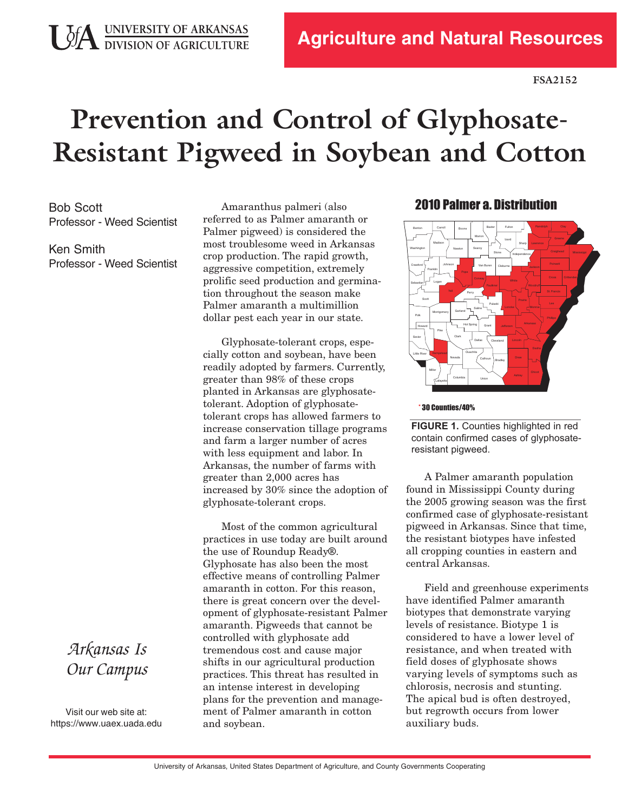**UDIA** UNIVERSITY OF ARKANSAS

# **Prevention and Control of Glyphosate-Resistant Pigweed in Soybean and Cotton**

Bob Scott Professor - Weed Scientist

Ken Smith Professor - Weed Scientist

Amaranthus palmeri (also referred to as Palmer amaranth or Palmer pigweed) is considered the most troublesome weed in Arkansas crop production. The rapid growth, aggressive competition, extremely prolific seed production and germination throughout the season make Palmer amaranth a multimillion dollar pest each year in our state.

Glyphosate-tolerant crops, especially cotton and soybean, have been readily adopted by farmers. Currently, greater than 98% of these crops planted in Arkansas are glyphosatetolerant. Adoption of glyphosatetolerant crops has allowed farmers to increase conservation tillage programs and farm a larger number of acres with less equipment and labor. In Arkansas, the number of farms with greater than 2,000 acres has increased by 30% since the adoption of glyphosate-tolerant crops.

Most of the common agricultural practices in use today are built around the use of Roundup Ready®. Glyphosate has also been the most effective means of controlling Palmer amaranth in cotton. For this reason, there is great concern over the development of glyphosate-resistant Palmer amaranth. Pigweeds that cannot be controlled with glyphosate add tremendous cost and cause major shifts in our agricultural production practices. This threat has resulted in an intense interest in developing plans for the prevention and management of Palmer amaranth in cotton and soybean.

#### 2010 Palmer a. Distribution



#### \* 30 Counties/40%

**FIGURE 1.** Counties highlighted in red contain confirmed cases of glyphosateresistant pigweed.

A Palmer amaranth population found in Mississippi County during the 2005 growing season was the first confirmed case of glyphosate-resistant pigweed in Arkansas. Since that time, the resistant biotypes have infested all cropping counties in eastern and central Arkansas.

Field and greenhouse experiments have identified Palmer amaranth biotypes that demonstrate varying levels of resistance. Biotype 1 is considered to have a lower level of resistance, and when treated with field doses of glyphosate shows varying levels of symptoms such as chlorosis, necrosis and stunting. The apical bud is often destroyed, but regrowth occurs from lower auxiliary buds.

## *Arkansas Is Our Campus*

Visit our web site at: https[://www.uaex](https://www.uaex.uada.edu).uada.edu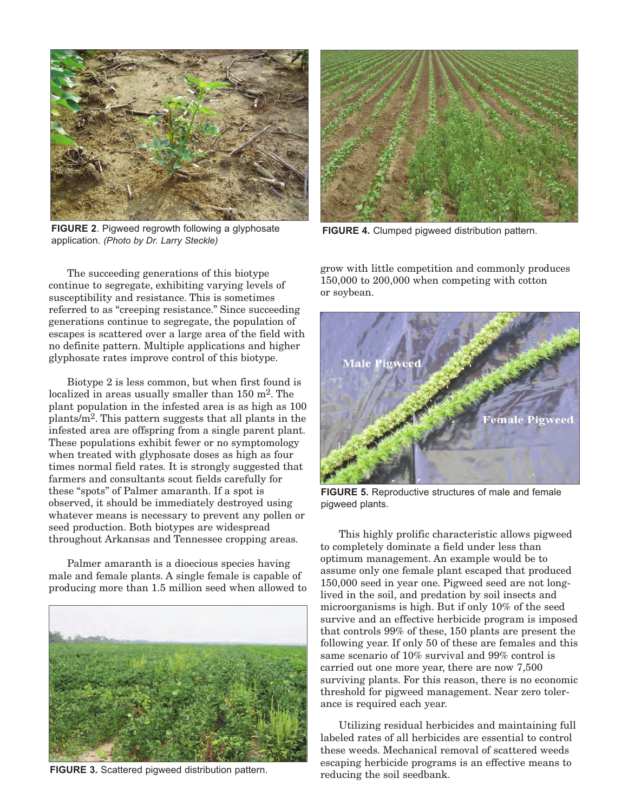

**FIGURE 2**. Pigweed regrowth following a glyphosate application. *(Photo by Dr. Larry Steckle)*

The succeeding generations of this biotype continue to segregate, exhibiting varying levels of susceptibility and resistance. This is sometimes referred to as "creeping resistance." Since succeeding generations continue to segregate, the population of escapes is scattered over a large area of the field with no definite pattern. Multiple applications and higher glyphosate rates improve control of this biotype.

Biotype 2 is less common, but when first found is localized in areas usually smaller than 150 m<sup>2</sup>. The plant population in the infested area is as high as 100 plants/m2. This pattern suggests that all plants in the infested area are offspring from a single parent plant. These populations exhibit fewer or no symptomology when treated with glyphosate doses as high as four times normal field rates. It is strongly suggested that farmers and consultants scout fields carefully for these "spots" of Palmer amaranth. If a spot is observed, it should be immediately destroyed using whatever means is necessary to prevent any pollen or seed production. Both biotypes are widespread throughout Arkansas and Tennessee cropping areas.

Palmer amaranth is a dioecious species having male and female plants. A single female is capable of producing more than 1.5 million seed when allowed to



**FIGURE 3.** Scattered pigweed distribution pattern.



**FIGURE 4.** Clumped pigweed distribution pattern.

grow with little competition and commonly produces 150,000 to 200,000 when competing with cotton or soybean.



**FIGURE 5.** Reproductive structures of male and female pigweed plants.

This highly prolific characteristic allows pigweed to completely dominate a field under less than optimum management. An example would be to assume only one female plant escaped that produced 150,000 seed in year one. Pigweed seed are not longlived in the soil, and predation by soil insects and microorganisms is high. But if only 10% of the seed survive and an effective herbicide program is imposed that controls 99% of these, 150 plants are present the following year. If only 50 of these are females and this same scenario of 10% survival and 99% control is carried out one more year, there are now 7,500 surviving plants. For this reason, there is no economic threshold for pigweed management. Near zero tolerance is required each year.

Utilizing residual herbicides and maintaining full labeled rates of all herbicides are essential to control these weeds. Mechanical removal of scattered weeds escaping herbicide programs is an effective means to reducing the soil seedbank.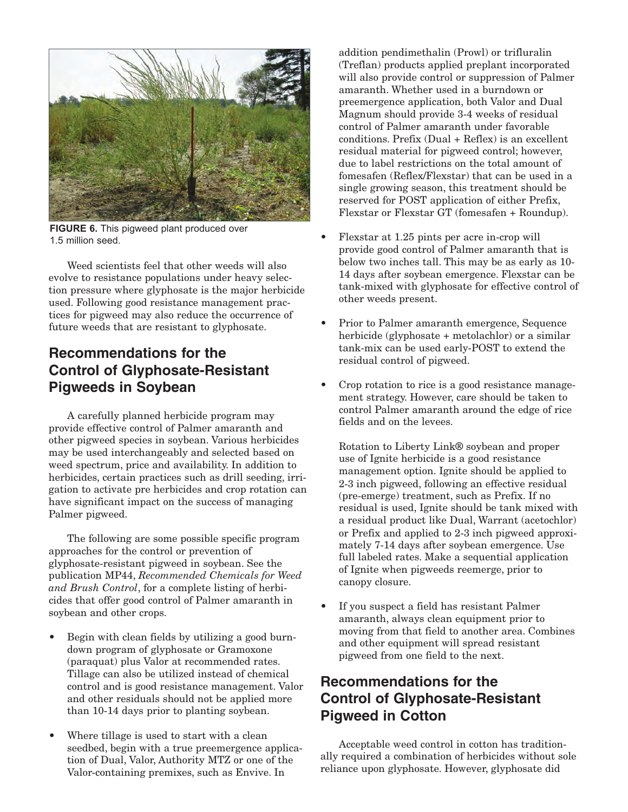

**FIGURE 6.** This pigweed plant produced over 1.5 million seed.

Weed scientists feel that other weeds will also evolve to resistance populations under heavy selection pressure where glyphosate is the major herbicide used. Following good resistance management practices for pigweed may also reduce the occurrence of future weeds that are resistant to glyphosate.

## **Recommendations for the Control of Glyphosate-Resistant Pigweeds in Soybean**

A carefully planned herbicide program may provide effective control of Palmer amaranth and other pigweed species in soybean. Various herbicides may be used interchangeably and selected based on weed spectrum, price and availability. In addition to herbicides, certain practices such as drill seeding, irrigation to activate pre herbicides and crop rotation can have significant impact on the success of managing Palmer pigweed.

The following are some possible specific program approaches for the control or prevention of glyphosate-resistant pigweed in soybean. See the publication MP44, *Recommended Chemicals for Weed and Brush Control*, for a complete listing of herbicides that offer good control of Palmer amaranth in soybean and other crops.

- Begin with clean fields by utilizing a good burndown program of glyphosate or Gramoxone (paraquat) plus Valor at recommended rates. Tillage can also be utilized instead of chemical control and is good resistance management. Valor and other residuals should not be applied more than 10-14 days prior to planting soybean.
- Where tillage is used to start with a clean seedbed, begin with a true preemergence application of Dual, Valor, Authority MTZ or one of the Valor-containing premixes, such as Envive. In

addition pendimethalin (Prowl) or trifluralin (Treflan) products applied preplant incorporated will also provide control or suppression of Palmer amaranth. Whether used in a burndown or preemergence application, both Valor and Dual Magnum should provide 34 weeks of residual control of Palmer amaranth under favorable  $conditions.$  Prefix  $(Dual + Reflex)$  is an excellent residual material for pigweed control; however, due to label restrictions on the total amount of fomesafen (Reflex/Flexstar) that can be used in a single growing season, this treatment should be reserved for POST application of either Prefix, Flexstar or Flexstar GT (fomesafen + Roundup).

- Flexstar at 1.25 pints per acre in-crop will provide good control of Palmer amaranth that is below two inches tall. This may be as early as 10 14 days after soybean emergence. Flexstar can be tank-mixed with glyphosate for effective control of other weeds present.
- Prior to Palmer amaranth emergence, Sequence herbicide (glyphosate + metolachlor) or a similar tank-mix can be used early-POST to extend the residual control of pigweed.
- Crop rotation to rice is a good resistance management strategy. However, care should be taken to control Palmer amaranth around the edge of rice fields and on the levees.

Rotation to Liberty Link® soybean and proper use of Ignite herbicide is a good resistance management option. Ignite should be applied to 23 inch pigweed, following an effective residual (pre-emerge) treatment, such as Prefix. If no residual is used, Ignite should be tank mixed with a residual product like Dual, Warrant (acetochlor) or Prefix and applied to 23 inch pigweed approximately 714 days after soybean emergence. Use full labeled rates. Make a sequential application of Ignite when pigweeds reemerge, prior to canopy closure.

If you suspect a field has resistant Palmer amaranth, always clean equipment prior to moving from that field to another area. Combines and other equipment will spread resistant pigweed from one field to the next.

## **Recommendations for the Control of Glyphosate-Resistant Pigweed in Cotton**

Acceptable weed control in cotton has traditionally required a combination of herbicides without sole reliance upon glyphosate. However, glyphosate did